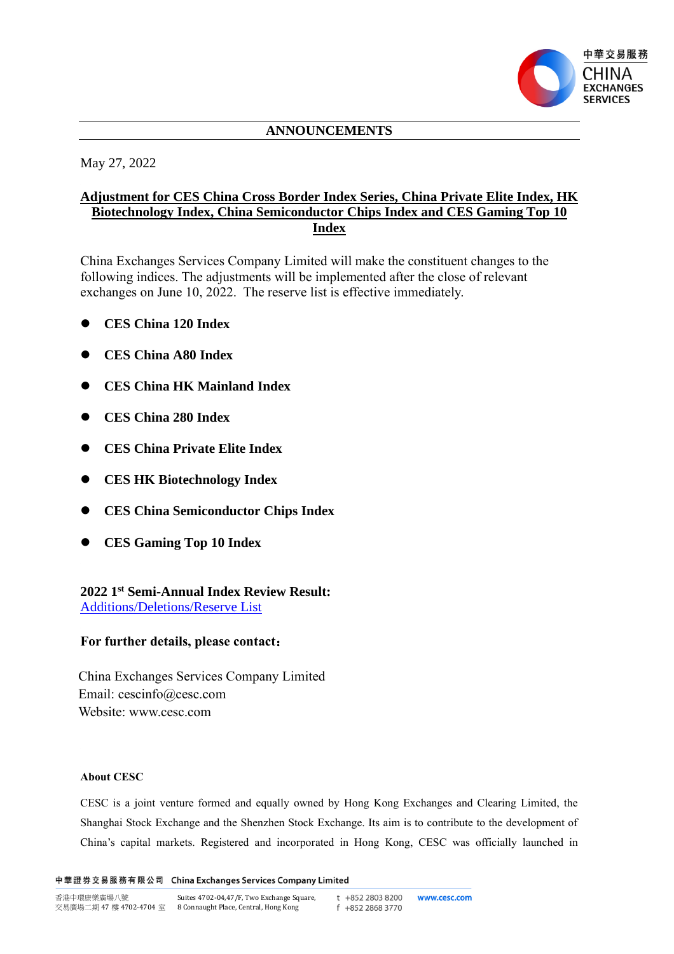

# **ANNOUNCEMENTS**

May 27, 2022

# **Adjustment for CES China Cross Border Index Series, China Private Elite Index, HK Biotechnology Index, China Semiconductor Chips Index and CES Gaming Top 10 Index**

China Exchanges Services Company Limited will make the constituent changes to the following indices. The adjustments will be implemented after the close of relevant exchanges on June 10, 2022. The reserve list is effective immediately.

- ⚫ **CES China 120 Index**
- ⚫ **CES China A80 Index**
- ⚫ **CES China HK Mainland Index**
- ⚫ **CES China 280 Index**
- ⚫ **CES China Private Elite Index**
- ⚫ **CES HK Biotechnology Index**
- ⚫ **CES China Semiconductor Chips Index**
- ⚫ **CES Gaming Top 10 Index**

### **2022 1 st Semi-Annual Index Review Result:** [Additions/Deletions/Reserve List](http://index.cesc.com/index/pdf/CES_2022-1st_20220527_sc.xls)

### **For further details, please contact**:

China Exchanges Services Company Limited Email: cescinfo@cesc.com Website: www.cesc.com

#### **About CESC**

CESC is a joint venture formed and equally owned by Hong Kong Exchanges and Clearing Limited, the Shanghai Stock Exchange and the Shenzhen Stock Exchange. Its aim is to contribute to the development of China's capital markets. Registered and incorporated in Hong Kong, CESC was officially launched in

中華證券交易服務有限公司 China Exchanges Services Company Limited